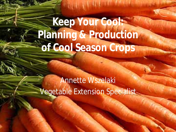**Keep Your Cool: Planning & Production of Cool Season Crops**

**REAR REPORT** 

Annette Wszelaki Vegetable Extension Specialist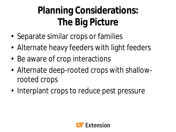#### **Planning Considerations: The Big Picture**

- Separate similar crops or families
- Alternate heavy feeders with light feeders
- Be aware of crop interactions
- Alternate deep-rooted crops with shallowrooted crops
- Interplant crops to reduce pest pressure

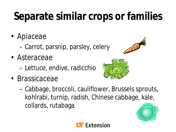# **Separate similar crops or families**

- *Apiaceae*
	- Carrot, parsnip, parsley, celery
- *Asteraceae*
	- Lettuce, endive, radicchio
- *Brassicaceae*





– Cabbage, broccoli, cauliflower, Brussels sprouts, kohlrabi, turnip, radish, Chinese cabbage, kale, collards, rutabaga



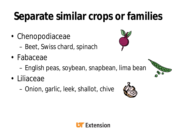# **Separate similar crops or families**

- Chenopodiaceae
	- Beet, Swiss chard, spinach
- Fabaceae
	- English peas, soybean, snapbean, lima bean
- Liliaceae
	- Onion, garlic, leek, shallot, chive







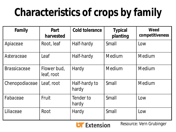# **Characteristics of crops by family**

| Family              | Part<br>harvested         | <b>Cold tolerance</b>  | <b>Typical</b><br>planting | Weed<br>competitiveness |
|---------------------|---------------------------|------------------------|----------------------------|-------------------------|
| Apiaceae            | Root, leaf                | Half-hardy             | Small                      | Low                     |
| Asteraceae          | Leaf                      | Half-hardy             | Medium                     | Medium                  |
| <i>Brassicaceae</i> | Flower bud,<br>leaf, root | Hardy                  | <b>Medium</b>              | Medium                  |
| Chenopodiaceae      | Leaf, root                | Half-hardy to<br>hardy | Small                      | Medium                  |
| Fabaceae            | Fruit                     | Tender to<br>hardy     | Small                      | Low                     |
| Liliaceae           | Root                      | Hardy                  | Small                      | Low                     |

**UF** Extension

Resource: Vern Grubinger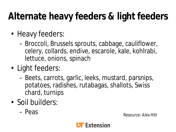#### **Alternate heavy feeders & light feeders**

- Heavy feeders:
	- Broccoli, Brussels sprouts, cabbage, cauliflower, celery, collards, endive, escarole, kale, kohlrabi, lettuce, onions, spinach
- Light feeders:
	- Beets, carrots, garlic, leeks, mustard, parsnips, potatoes, radishes, rutabagas, shallots, Swiss chard, turnips
- Soil builders:
	-

– Peas Resource: Alex Hitt

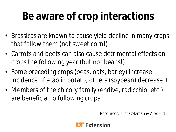#### **Be aware of crop interactions**

- Brassicas are known to cause yield decline in many crops that follow them (not sweet corn!)
- Carrots and beets can also cause detrimental effects on crops the following year (but not beans!)
- Some preceding crops (peas, oats, barley) increase incidence of scab in potato, others (soybean) decrease it
- Members of the chicory family (endive, radicchio, etc.) are beneficial to following crops

Resources: Eliot Coleman & Alex Hitt

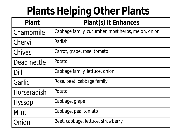#### **Plants Helping Other Plants**

| <b>Plant</b>       | Plant(s) It Enhances                               |
|--------------------|----------------------------------------------------|
| Chamomile          | Cabbage family, cucumber, most herbs, melon, onion |
| Chervil            | Radish                                             |
| Chives             | Carrot, grape, rose, tomato                        |
| Dead nettle        | Potato                                             |
| Dill               | Cabbage family, lettuce, onion                     |
| Garlic             | Rose, beet, cabbage family                         |
| <b>Horseradish</b> | Potato                                             |
| <b>Hyssop</b>      | Cabbage, grape                                     |
| Mint               | Cabbage, pea, tomato                               |
| Onion              | Beet, cabbage, lettuce, strawberry                 |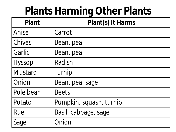#### **Plants Harming Other Plants**

| <b>Plant</b>         | Plant(s) It Harms       |  |
|----------------------|-------------------------|--|
| Anise                | Carrot                  |  |
| <b>Chives</b>        | Bean, pea               |  |
| Garlic               | Bean, pea               |  |
| Hyssop               | Radish                  |  |
| <b>Mustard</b>       | Turnip                  |  |
| Onion                | Bean, pea, sage         |  |
| Pole bean            | <b>Beets</b>            |  |
| <i><b>Potato</b></i> | Pumpkin, squash, turnip |  |
| Rue                  | Basil, cabbage, sage    |  |
| Sage                 | Onion                   |  |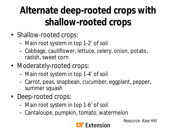#### **Alternate deep-rooted crops with shallow-rooted crops**

- Shallow-rooted crops:
	- Main root system in top 1-2' of soil
	- Cabbage, cauliflower, lettuce, celery, onion, potato, radish, sweet corn
- Moderately-rooted crops:
	- Main root system in top 1-4' of soil
	- Carrot, peas, snapbean, cucumber, eggplant, pepper, summer squash
- Deep-rooted crops:
	- Main root system in top 1-6' of soil
	- Cantaloupe, pumpkin, tomato, watermelon



Resource: Alex Hitt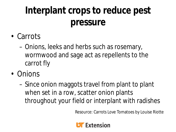#### **Interplant crops to reduce pest pressure**

- Carrots
	- Onions, leeks and herbs such as rosemary, wormwood and sage act as repellents to the carrot fly
- Onions
	- Since onion maggots travel from plant to plant when set in a row, scatter onion plants throughout your field or interplant with radishes

Resource: Carrots Love Tomatoes by Louise Riotte

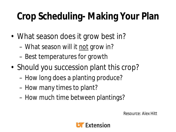#### **Crop Scheduling- Making Your Plan**

- What season does it grow best in?
	- What season will it not grow in?
	- Best temperatures for growth
- Should you succession plant this crop?
	- How long does a planting produce?
	- How many times to plant?
	- How much time between plantings?

Resource: Alex Hitt

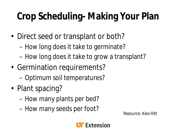#### **Crop Scheduling- Making Your Plan**

- Direct seed or transplant or both?
	- How long does it take to germinate?
	- How long does it take to grow a transplant?
- Germination requirements?
	- Optimum soil temperatures?
- Plant spacing?
	- How many plants per bed?
	- How many seeds per foot?<br>Resource: Alex Hitt

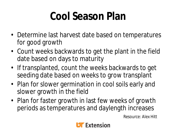### **Cool Season Plan**

- Determine last harvest date based on temperatures for good growth
- Count weeks backwards to get the plant in the field date based on days to maturity
- If transplanted, count the weeks backwards to get seeding date based on weeks to grow transplant
- Plan for slower germination in cool soils early and slower growth in the field
- Plan for faster growth in last few weeks of growth periods as temperatures and daylength increases

Resource: Alex Hitt

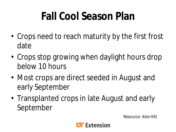# **Fall Cool Season Plan**

- Crops need to reach maturity by the first frost date
- Crops stop growing when daylight hours drop below 10 hours
- Most crops are direct seeded in August and early September
- Transplanted crops in late August and early September

Resource: Alex Hitt

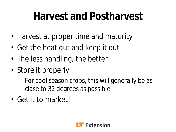#### **Harvest and Postharvest**

- Harvest at proper time and maturity
- Get the heat out and keep it out
- The less handling, the better
- Store it properly
	- For cool season crops, this will generally be as close to 32 degrees as possible
- Get it to market!

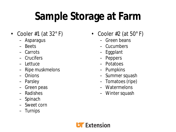# **Sample Storage at Farm**

- Cooler #1 (at  $32^{\circ}$  F)
	- Asparagus
	- Beets
	- Carrots
	- Crucifers
	- Lettuce
	- Ripe muskmelons
	- Onions
	- Parsley
	- Green peas
	- Radishes
	- Spinach
	- Sweet corn
	- Turnips
- Cooler  $#2$  (at 50 $^{\circ}$  F)
	- Green beans
	- Cucumbers
	- Eggplant
	- Peppers
	- Potatoes
	- Pumpkins
	- Summer squash
	- Tomatoes (ripe)
	- Watermelons
	- Winter squash

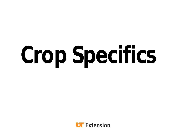# **Crop Specifics**

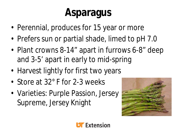# **Asparagus**

- Perennial, produces for 15 year or more
- Prefers sun or partial shade, limed to pH 7.0
- Plant crowns 8-14" apart in furrows 6-8" deep and 3-5' apart in early to mid-spring
- Harvest lightly for first two years
- Store at 32° F for 2-3 weeks
- Varieties: Purple Passion, Jersey Supreme, Jersey Knight



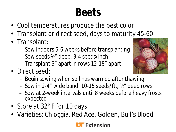#### **Beets**

- Cool temperatures produce the best color
- Transplant or direct seed, days to maturity 45-60
- Transplant:
	- Sow indoors 5-6 weeks before transplanting
	- Sow seeds ¼" deep, 3-4 seeds/inch
	- Transplant 3" apart in rows 12-18" apart
- Direct seed:
	- Begin sowing when soil has warmed after thawing
	- Sow in 2-4" wide band, 10-15 seeds/ft., ½" deep rows
	- Sow at 2-week intervals until 8 weeks before heavy frosts expected
- Store at 32° F for 10 days
- Varieties: Chioggia, Red Ace, Golden, Bull's Blood



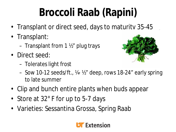# **Broccoli Raab (Rapini)**

- Transplant or direct seed, days to maturity 35-45
- Transplant:
	- Transplant from 1 ½" plug trays
- Direct seed:
	- Tolerates light frost



- Sow 10-12 seeds/ft., ¼- ½" deep, rows 18-24" early spring to late summer
- Clip and bunch entire plants when buds appear
- Store at 32° F for up to 5-7 days
- Varieties: Sessantina Grossa, Spring Raab

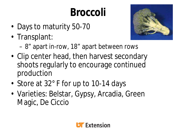# **Broccoli**

- Days to maturity 50-70
- Transplant:



- 8" apart in-row, 18" apart between rows
- Clip center head, then harvest secondary shoots regularly to encourage continued production
- Store at 32° F for up to 10-14 days
- Varieties: Belstar, Gypsy, Arcadia, Green Magic, De Ciccio

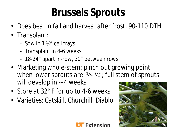#### **Brussels Sprouts**

- Does best in fall and harvest after frost, 90-110 DTH
- Transplant:
	- Sow in 1 ½" cell trays
	- Transplant in 4-6 weeks
	- 18-24" apart in-row, 30" between rows
- Marketing whole-stem: pinch out growing point when lower sprouts are  $\frac{1}{2}$ - 3/4"; full stem of sprouts will develop in  $\sim$  4 weeks
- Store at 32° F for up to 4-6 weeks
- Varieties: Catskill, Churchill, Diablo



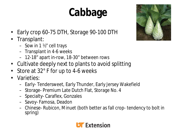# **Cabbage**



- Early crop 60-75 DTH, Storage 90-100 DTH
- Transplant:
	- Sow in 1 ½" cell trays
	- Transplant in 4-6 weeks
	- 12-18" apart in-row, 18-30" between rows
- Cultivate deeply next to plants to avoid splitting
- Store at 32° F for up to 4-6 weeks
- Varieties:
	- Early- Tendersweet, Early Thunder, Early Jersey Wakefield
	- Storage- Premium Late Dutch Flat, Storage No. 4
	- Specialty- Caraflex, Gonzales
	- Savoy- Famosa, Deadon
	- Chinese- Rubicon, Minuet (both better as fall crop- tendency to bolt in spring)

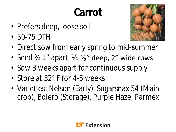# **Carrot**

- Prefers deep, loose soil
- 50-75 DTH



- Direct sow from early spring to mid-summer
- Seed  $\frac{3}{4}$ -1" apart,  $\frac{1}{4}$   $\frac{1}{2}$ " deep, 2" wide rows
- Sow 3 weeks apart for continuous supply
- Store at 32° F for 4-6 weeks
- Varieties: Nelson (Early), Sugarsnax 54 (Main crop), Bolero (Storage), Purple Haze, Parmex

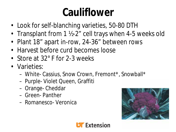#### **Cauliflower**

- Look for self-blanching varieties, 50-80 DTH
- Transplant from 1 ½-2" cell trays when 4-5 weeks old
- Plant 18" apart in-row, 24-36" between rows
- Harvest before curd becomes loose
- Store at 32° F for 2-3 weeks
- Varieties:
	- White- Cassius, Snow Crown, Fremont\*, Snowball\*
	- Purple- Violet Queen, Graffiti
	- Orange- Cheddar
	- Green- Panther
	- Romanesco- Veronica



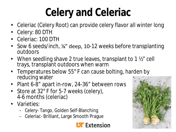# **Celery and Celeriac**

- Celeriac (Celery Root) can provide celery flavor all winter long
- Celery: 80 DTH
- Celeriac: 100 DTH
- Sow 6 seeds/inch, %" deep, 10-12 weeks before transplanting outdoors
- When seedling shave 2 true leaves, transplant to 1 1/2" cell trays, transplant outdoors when warm
- Temperatures below 55° F can cause bolting, harden by reducing water
- Plant 6-8" apart in-row, 24-36" between rows
- Store at 32° F for 5-7 weeks (celery), 4-6 months (celeriac)
- Varieties:
	- Celery- Tango, Golden Self-Blanching
	- Celeriac- Brilliant, Large Smooth Prague



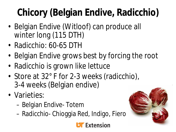# **Chicory (Belgian Endive, Radicchio)**

- Belgian Endive (Witloof) can produce all winter long (115 DTH)
- Radicchio: 60-65 DTH
- Belgian Endive grows best by forcing the root
- Radicchio is grown like lettuce
- Store at 32° F for 2-3 weeks (radicchio), 3-4 weeks (Belgian endive)
- Varieties:
	- Belgian Endive- Totem
	- Radicchio- Chioggia Red, Indigo, Fiero



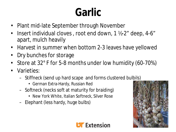#### **Garlic**

- Plant mid-late September through November
- Insert individual cloves , root end down, 1 ½-2" deep, 4-6" apart, mulch heavily
- Harvest in summer when bottom 2-3 leaves have yellowed
- Dry bunches for storage
- Store at 32° F for 5-8 months under low humidity (60-70%)
- Varieties:
	- Stiffneck (send up hard scape and forms clustered bulbils)
		- German Extra-Hardy, Russian Red
	- Softneck (necks soft at maturity for braiding)
		- New York White, Italian Softneck, Silver Rose
	- Elephant (less hardy, huge bulbs)



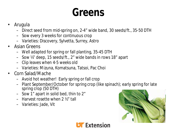#### **Greens**

- Arugula
	- Direct seed from mid-spring on, 2-4" wide band, 30 seeds/ft., 35-50 DTH
	- Sow every 3 weeks for continuous crop
	- Varieties: Discovery, Sylvetta, Surrey, Astro
- Asian Greens
	- Well adapted for spring or fall planting, 35-45 DTH
	- Sow ¼" deep, 15 seeds/ft., 2" wide bands in rows 18" apart
	- Clip leaves when 4-5 weeks old
	- Varieties: Mizuna, Komatsuna, Tatsoi, Pac Choi
- Corn Salad/Mache
	- Avoid hot weather! Early spring or fall crop
	- Plant September/October for spring crop (like spinach); early spring for late spring crop (50 DTH)
	- Sow 1" apart in solid bed, thin to 2"
	- Harvest rosette when 2 ½" tall
	- Varieties: Jade, Vit



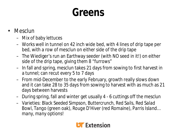#### **Greens**

- Mesclun
	- Mix of baby lettuces
	- Works well in tunnel on 42 inch wide bed, with 4 lines of drip tape per bed, with a row of mesclun on either side of the drip tape
	- The Wiediger's run an Earthway seeder (with NO seed in it!) on either side of the drip tape, giving them 8 "furrows"
	- In fall and spring, mesclun takes 21 days from sowing to first harvest in a tunnel; can recut every 5 to 7 days
	- From mid-December to the early February, growth really slows down and it can take 28 to 35 days from sowing to harvest with as much as 21 days between harvests
	- During spring, fall and winter get usually 4 6 cuttings off the mesclun
	- Varieties: *Black Seeded Simpson,* B*uttercrunch*, *Red Sails, Red Salad Bowl*, *Tango* (green oak), *Rouge D'Hiver* (red Romaine), *Parris Island… many, many options!*

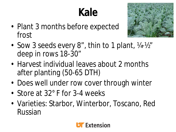# **Kale**

• Plant 3 months before expected frost



- Sow 3 seeds every 8", thin to 1 plant, 1/4-1/2" deep in rows 18-30"
- Harvest individual leaves about 2 months after planting (50-65 DTH)
- Does well under row cover through winter
- Store at 32° F for 3-4 weeks
- Varieties: Starbor, Winterbor, Toscano, Red Russian

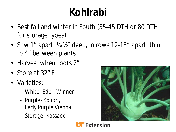### **Kohlrabi**

- Best fall and winter in South (35-45 DTH or 80 DTH for storage types)
- Sow 1" apart, 14-1/<sub>2</sub>" deep, in rows 12-18" apart, thin to 4" between plants
- Harvest when roots 2"
- Store at 32°F
- Varieties:
	- White- Eder, Winner
	- Purple- Kolibri, Early Purple Vienna
	- Storage- Kossack



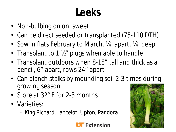#### **Leeks**

- Non-bulbing onion, sweet
- Can be direct seeded or transplanted (75-110 DTH)
- Sow in flats February to March, 14" apart, 14" deep
- Transplant to 1 1/2" plugs when able to handle
- Transplant outdoors when 8-18" tall and thick as a pencil, 6" apart, rows 24" apart
- Can blanch stalks by mounding soil 2-3 times during growing season
- Store at 32° F for 2-3 months
- Varieties:
	- King Richard, Lancelot, Upton, Pandora



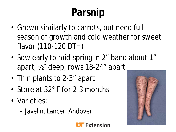# **Parsnip**

- Grown similarly to carrots, but need full season of growth and cold weather for sweet flavor (110-120 DTH)
- Sow early to mid-spring in 2" band about 1" apart, ½" deep, rows 18-24" apart
- Thin plants to 2-3" apart
- Store at 32° F for 2-3 months
- Varieties:
	- Javelin, Lancer, Andover



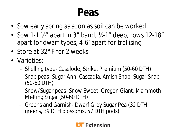#### **Peas**

- Sow early spring as soon as soil can be worked
- Sow 1-1  $\frac{1}{2}$ " apart in 3" band,  $\frac{1}{2}$ -1" deep, rows 12-18" apart for dwarf types, 4-6' apart for trellising
- Store at 32° F for 2 weeks
- Varieties:
	- Shelling type- Caselode, Strike, Premium (50-60 DTH)
	- Snap peas- Sugar Ann, Cascadia, Amish Snap, Sugar Snap (50-60 DTH)
	- Snow/Sugar peas- Snow Sweet, Oregon Giant, Mammoth Melting Sugar (50-60 DTH)
	- Greens and Garnish- Dwarf Grey Sugar Pea (32 DTH greens, 39 DTH blossoms, 57 DTH pods)

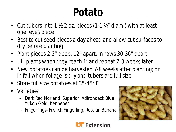### **Potato**

- Cut tubers into 1 ½-2 oz. pieces (1-1 ¼" diam.) with at least one 'eye'/piece
- Best to cut seed pieces a day ahead and allow cut surfaces to dry before planting
- Plant pieces 2-3" deep, 12" apart, in rows 30-36" apart
- Hill plants when they reach 1' and repeat 2-3 weeks later
- New potatoes can be harvested 7-8 weeks after planting; or in fall when foliage is dry and tubers are full size
- Store full size potatoes at 35-45°F
- Varieties:
	- Dark Red Norland, Superior, Adirondack Blue, Yukon Gold, Kennebec
	- Fingerlings- French Fingerling, Russian Banana



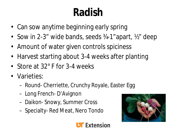### **Radish**

- Can sow anytime beginning early spring
- Sow in 2-3" wide bands, seeds 34-1"apart, 1/2" deep
- Amount of water given controls spiciness
- Harvest starting about 3-4 weeks after planting
- Store at 32° F for 3-4 weeks
- Varieties:
	- Round- Cherriette, Crunchy Royale, Easter Egg
	- Long French- D'Avignon
	- Daikon- Snowy, Summer Cross
	- Specialty- Red Meat, Nero Tondo



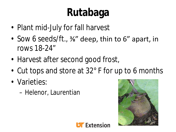# **Rutabaga**

- Plant mid-July for fall harvest
- Sow 6 seeds/ft., 3%" deep, thin to 6" apart, in rows 18-24"
- Harvest after second good frost,
- Cut tops and store at 32° F for up to 6 months
- Varieties:
	- Helenor, Laurentian



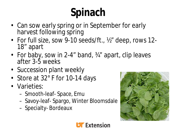# **Spinach**

- Can sow early spring or in September for early harvest following spring
- For full size, sow 9-10 seeds/ft., ½" deep, rows 12- 18" apart
- For baby, sow in 2-4" band, 34" apart, clip leaves after 3-5 weeks
- Succession plant weekly
- Store at 32° F for 10-14 days
- Varieties:
	- Smooth-leaf- Space, Emu
	- Savoy-leaf- Spargo, Winter Bloomsdale
	- Specialty- Bordeaux



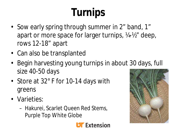# **Turnips**

- Sow early spring through summer in 2" band, 1" apart or more space for larger turnips, ¼-½" deep, rows 12-18" apart
- Can also be transplanted
- Begin harvesting young turnips in about 30 days, full size 40-50 days
- Store at 32° F for 10-14 days with greens
- Varieties:
	- Hakurei, Scarlet Queen Red Stems, Purple Top White Globe



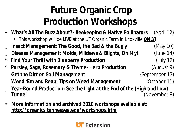#### **Future Organic Crop Production Workshops**

- **What's All The Buzz About?- Beekeeping & Native Pollinators** (April 12) • This workshop will be **LIVE** at the UT Organic Farm in Knoxville **ONLY**!
- ü **Insect Management: The Good, the Bad & the Bugly** (May 10)
- ü **Disease Management: Molds, Mildews & Blights, Oh My!** (June 14)
- **\* Find Your Thrill with Blueberry Production** (July 12)
- **\* Parsley, Sage, Rosemary & Thyme- Herb Production** (August 9)
- ü **Get the Dirt on Soil Management** (September 13)
- ü **Weed 'Em and Reap: Tips on Weed Management** (October 11)
- ü **Year-Round Production: See the Light at the End of the (High and Low) Tunnel** (November 8)
- **More information and archived 2010 workshops available at: http://organics.tennessee.edu/workshops.htm**

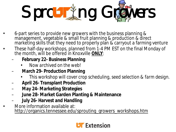

- 6-part series to provide new growers with the business planning & management, vegetable & small fruit planning & production & direct marketing skills that they need to properly plan & carryout a farming venture
- These half-day workshops, planned from 1-4 PM EST on the final Monday of the month, will be offered in Knoxville **ONLY**:
	- **February 22- Business Planning**
		- *Now archived on the web!*
	- **March 29- Production Planning**
		- *This workshop will cover crop scheduling, seed selection & farm design.*
	- **April 26- Transplant Production**
	- **May 24- Marketing Strategies**
	- **June 28- Market Garden Planting & Maintenance**
	- **July 26- Harvest and Handling**
- More information available at: http://organics.tennessee.edu/sprouting\_growers\_workshops.htm